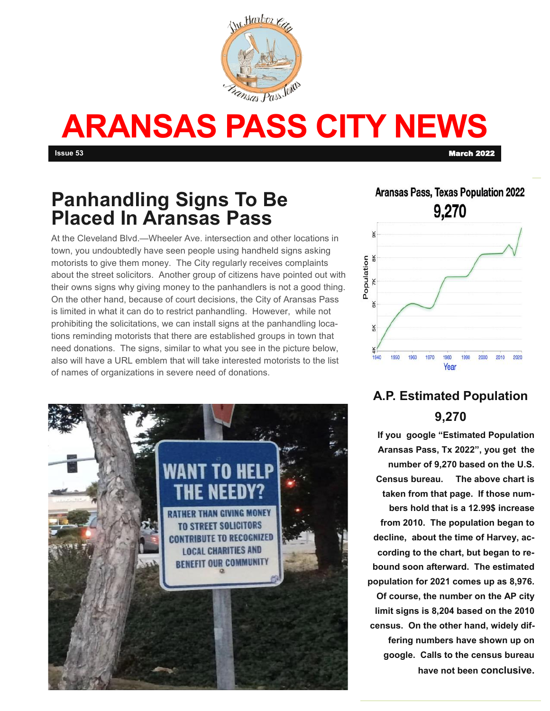

# **ARANSAS PASS CITY NEWS**

**Issue 53** March 2022

# **Panhandling Signs To Be Placed In Aransas Pass**

At the Cleveland Blvd.—Wheeler Ave. intersection and other locations in town, you undoubtedly have seen people using handheld signs asking motorists to give them money. The City regularly receives complaints about the street solicitors. Another group of citizens have pointed out with their owns signs why giving money to the panhandlers is not a good thing. On the other hand, because of court decisions, the City of Aransas Pass is limited in what it can do to restrict panhandling. However, while not prohibiting the solicitations, we can install signs at the panhandling locations reminding motorists that there are established groups in town that need donations. The signs, similar to what you see in the picture below, also will have a URL emblem that will take interested motorists to the list of names of organizations in severe need of donations.



#### **Aransas Pass, Texas Population 2022** 9,270 Population ¥ ¥  $2020$ 1940 1950 1960  $1970$ 1980  $1000$  $2000$ 2010 Year

### **A.P. Estimated Population 9,270**

**If you google "Estimated Population Aransas Pass, Tx 2022", you get the number of 9,270 based on the U.S. Census bureau. The above chart is taken from that page. If those numbers hold that is a 12.99\$ increase from 2010. The population began to decline, about the time of Harvey, according to the chart, but began to rebound soon afterward. The estimated population for 2021 comes up as 8,976. Of course, the number on the AP city limit signs is 8,204 based on the 2010 census. On the other hand, widely differing numbers have shown up on google. Calls to the census bureau have not been conclusive.**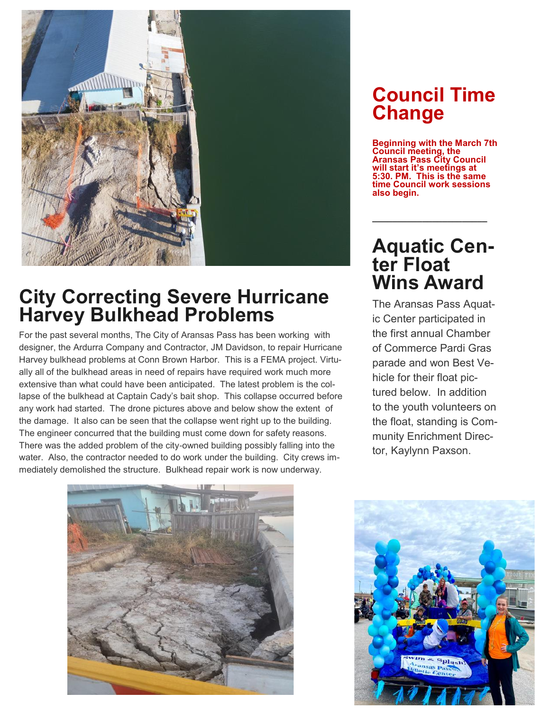

## **City Correcting Severe Hurricane Harvey Bulkhead Problems**

For the past several months, The City of Aransas Pass has been working with designer, the Ardurra Company and Contractor, JM Davidson, to repair Hurricane Harvey bulkhead problems at Conn Brown Harbor. This is a FEMA project. Virtually all of the bulkhead areas in need of repairs have required work much more extensive than what could have been anticipated. The latest problem is the collapse of the bulkhead at Captain Cady's bait shop. This collapse occurred before any work had started. The drone pictures above and below show the extent of the damage. It also can be seen that the collapse went right up to the building. The engineer concurred that the building must come down for safety reasons. There was the added problem of the city-owned building possibly falling into the water. Also, the contractor needed to do work under the building. City crews immediately demolished the structure. Bulkhead repair work is now underway.

## **Council Time Change**

**Beginning with the March 7th Council meeting, the Aransas Pass City Council will start it's meetings at 5:30. PM. This is the same time Council work sessions also begin.** 

### **Aquatic Center Float Wins Award**

**\_\_\_\_\_\_\_\_\_\_\_\_\_\_\_\_\_\_\_\_\_\_\_**

The Aransas Pass Aquatic Center participated in the first annual Chamber of Commerce Pardi Gras parade and won Best Vehicle for their float pictured below. In addition to the youth volunteers on the float, standing is Community Enrichment Director, Kaylynn Paxson.



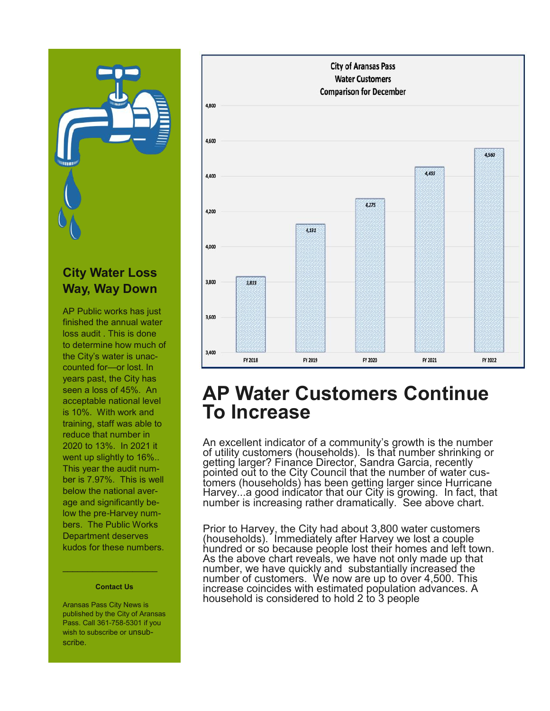

#### **City Water Loss Way, Way Down**

AP Public works has just finished the annual water loss audit . This is done to determine how much of the City's water is unaccounted for—or lost. In years past, the City has seen a loss of 45%. An acceptable national level is 10%. With work and training, staff was able to reduce that number in 2020 to 13%. In 2021 it went up slightly to 16%.. This year the audit number is 7.97%. This is well below the national average and significantly below the pre-Harvey numbers. The Public Works Department deserves kudos for these numbers.

#### **Contact Us**

 $\mathcal{L}_\text{max}$  and  $\mathcal{L}_\text{max}$  and  $\mathcal{L}_\text{max}$ 

Aransas Pass City News is published by the City of Aransas Pass. Call 361-758-5301 if you wish to subscribe or unsubscribe.



#### **AP Water Customers Continue To Increase**

An excellent indicator of a community's growth is the number of utility customers (households). Is that number shrinking or getting larger? Finance Director, Sandra Garcia, recently pointed out to the City Council that the number of water customers (households) has been getting larger since Hurricane Harvey...a good indicator that our City is growing. In fact, that number is increasing rather dramatically. See above chart.

Prior to Harvey, the City had about 3,800 water customers (households). Immediately after Harvey we lost a couple hundred or so because people lost their homes and left town. As the above chart reveals, we have not only made up that number, we have quickly and substantially increased the number of customers. We now are up to over 4,500. This increase coincides with estimated population advances. A household is considered to hold 2 to 3 people